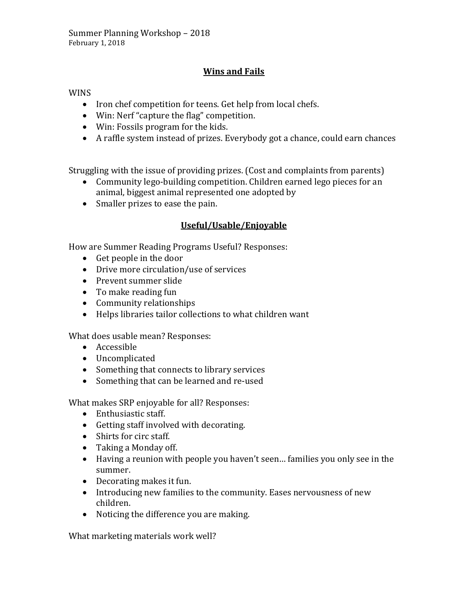## **Wins and Fails**

WINS

- Iron chef competition for teens. Get help from local chefs.
- Win: Nerf "capture the flag" competition.
- Win: Fossils program for the kids.
- A raffle system instead of prizes. Everybody got a chance, could earn chances

Struggling with the issue of providing prizes. (Cost and complaints from parents)

- Community lego-building competition. Children earned lego pieces for an animal, biggest animal represented one adopted by
- Smaller prizes to ease the pain.

## **Useful/Usable/Enjoyable**

How are Summer Reading Programs Useful? Responses:

- Get people in the door
- Drive more circulation/use of services
- Prevent summer slide
- To make reading fun
- Community relationships
- Helps libraries tailor collections to what children want

What does usable mean? Responses:

- Accessible
- Uncomplicated
- Something that connects to library services
- Something that can be learned and re-used

What makes SRP enjoyable for all? Responses:

- Enthusiastic staff.
- Getting staff involved with decorating.
- Shirts for circ staff.
- Taking a Monday off.
- Having a reunion with people you haven't seen… families you only see in the summer.
- Decorating makes it fun.
- Introducing new families to the community. Eases nervousness of new children.
- Noticing the difference you are making.

What marketing materials work well?